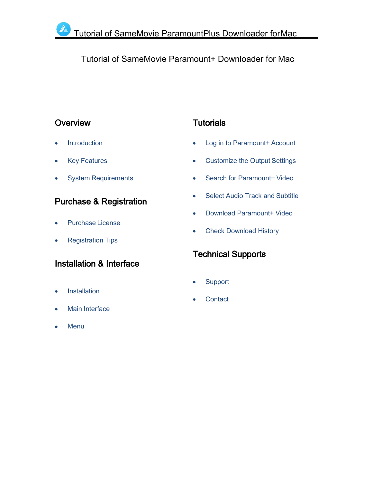# Tutorial of SameMovie Paramount+ Downloader for Mac

## **[Overview](#page-1-0)**

- **[Introduction](#page-1-1)**
- [K](#page-1-2)ey [Features](#page-1-1)
- System [Requirements](#page-2-0)

## Purchase & [Registration](#page-3-0)

- [Purchase](#page-3-1) License
- [Registration](#page-3-2) Tips

# [Installation](#page-5-0) & Interface

- **[Installation](#page-5-1)**
- Main [Interface](#page-5-2)
- **[Menu](#page-6-0)**

# **[Tutorials](#page-7-0)**

- Log in to [Paramount+](#page-7-1) Account
- [Customize](#page-8-0) the Output Settings
- Search for [Paramount+](#page-8-1) Video
- Select Audio Track and [Subtitle](#page-9-0)
- Download [Paramount+](#page-10-0) Video
- Check [Download](#page-11-0) History

# [Technical](#page-12-0) Supports

- **[Support](#page-12-1)**
- **[Contact](#page-12-2)**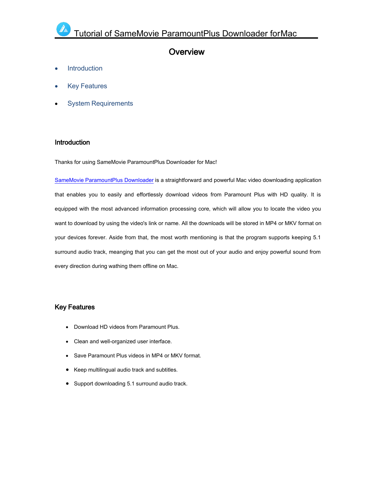### <span id="page-1-0"></span>**Overview**

- [Introduction](#page-1-0)
- Key [Features](#page-1-2)
- System [Requirements](#page-2-0)

#### <span id="page-1-1"></span>Introduction

Thanks for using SameMovie ParamountPlus Downloader for Mac!

SameMovie [ParamountPlus](https://www.samemovie.com/paramountplus-video-downloader-for-mac.html) Downloader is a straightforward and powerful Mac video downloading application that enables you to easily and effortlessly download videos from Paramount Plus with HD quality. It is equipped with the most advanced information processing core, which will allow you to locate the video you want to download by using the video's link or name. All the downloads will be stored in MP4 or MKV format on your devices forever. Aside from that, the most worth mentioning is that the program supports keeping 5.1 surround audio track, meanging that you can get the most out of your audio and enjoy powerful sound from every direction during wathing them offline on Mac.

#### <span id="page-1-2"></span>Key Features

- Download HD videos from Paramount Plus.
- Clean and well-organized user interface.
- Save Paramount Plus videos in MP4 or MKV format.
- Keep multilingual audio track and subtitles.
- Support downloading 5.1 surround audio track.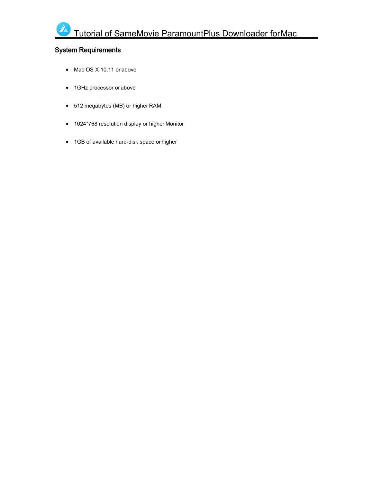### <span id="page-2-0"></span>System Requirements

- Mac OS X 10.11 or above
- 1GHz processor or above
- 512 megabytes (MB) or higher RAM
- 1024\*768 resolution display or higher Monitor
- 1GB of available hard-disk space or higher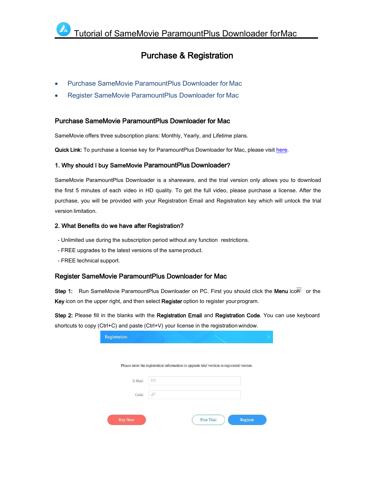## <span id="page-3-0"></span>Purchase & Registration

- Purchase SameMovie [ParamountPlus](#page-3-0) Downloader for Mac
- Register SameMovie [ParamountPlus](#page-3-2) Downloader for Mac

#### <span id="page-3-1"></span>Purchase SameMovie ParamountPlus Downloader for Mac

SameMovie offers three subscription plans: Monthly, Yearly, and Lifetime plans.

Quick Link: To purchase a license key for ParamountPlus Downloader for Mac, please visit [here.](https://www.samemovie.com/paramountplus-video-downloader-mac/buynow.html)

#### 1. Why should I buy SameMovie ParamountPlus Downloader?

SameMovie ParamountPlus Downloader is a shareware, and the trial version only allows you to download the first 5 minutes of each video in HD quality. To get the full video, please purchase a license. After the purchase, you will be provided with your Registration Email and Registration key which will unlock the trial version limitation.

#### 2. What Benefits do we have after Registration?

- Unlimited use during the subscription period without any function restrictions.
- FREE upgrades to the latest versions of the same product.
- FREE technical support.

#### <span id="page-3-2"></span>Register SameMovie ParamountPlus Downloader for Mac

Step 1: Run SameMovie ParamountPlus Downloader on PC. First you should click the Menu icon or the Key icon on the upper right, and then select Register option to register your program.

Step 2: Please fill in the blanks with the Registration Email and Registration Code. You can use keyboard shortcuts to copy (Ctrl+C) and paste (Ctrl+V) your license in the registration window.

| Registration   |                  |                   |                                                                                           |  |
|----------------|------------------|-------------------|-------------------------------------------------------------------------------------------|--|
|                |                  |                   | Please enter the registration information to upgrade trial version to registered version. |  |
| E-Mail:        | ×                |                   |                                                                                           |  |
| Code:          | $\epsilon^{(0)}$ |                   |                                                                                           |  |
|                |                  |                   |                                                                                           |  |
| <b>Buy Now</b> |                  | <b>Free Trial</b> | Register                                                                                  |  |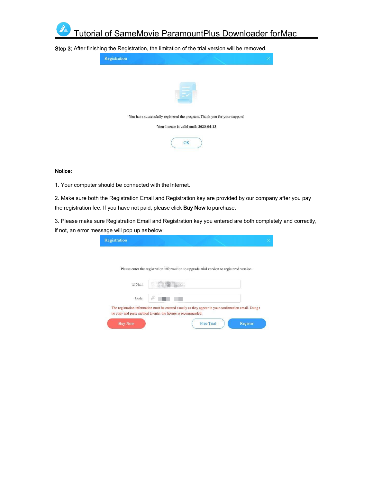

Step 3: After finishing the Registration, the limitation of the trial version will be removed.

| Registration |  |                                         |                                                                           |  |
|--------------|--|-----------------------------------------|---------------------------------------------------------------------------|--|
|              |  |                                         |                                                                           |  |
|              |  |                                         |                                                                           |  |
|              |  |                                         | You have successfully registered the program. Thank you for your support! |  |
|              |  | Your license is valid until: 2023-04-13 |                                                                           |  |
|              |  | OK                                      |                                                                           |  |

#### Notice:

1. Your computer should be connected with the Internet.

2. Make sure both the Registration Email and Registration key are provided by our company after you pay the registration fee. If you have not paid, please click Buy Now to purchase.

3. Please make sure Registration Email and Registration key you entered are both completely and correctly, if not, an error message will pop up asbelow:

|  | Please enter the registration information to upgrade trial version to registered version. |  |
|--|-------------------------------------------------------------------------------------------|--|
|  |                                                                                           |  |
|  |                                                                                           |  |
|  |                                                                                           |  |
|  |                                                                                           |  |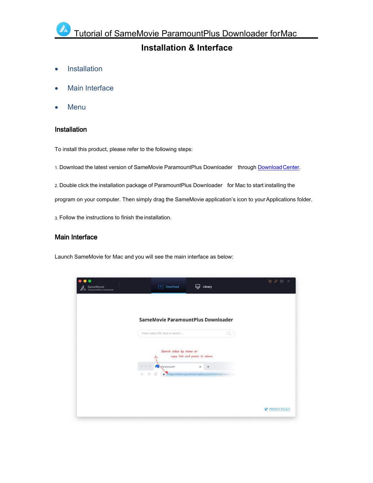# <span id="page-5-0"></span>**Installation & Interface**

- [Installation](#page-5-0)
- Main [Interface](#page-5-2)
- <span id="page-5-1"></span>[Menu](#page-6-0)

#### Installation

To install this product, please refer to the following steps:

1. Download the latest version of SameMovie ParamountPlus Downloader through [DownloadCenter](https://www.samemovie.com/download.html).

2. Double click the installation package of ParamountPlus Downloader for Mac to start installing the

program on your computer. Then simply drag the SameMovie application's icon to yourApplications folder.

3. Follow the instructions to finish the installation.

#### <span id="page-5-2"></span>Main Interface

Launch SameMovie for Mac and you will see the main interface as below:

| SameMovie<br>ParameumtPlus Downloader | Download<br>T Vi                                           | Library<br>믚                                    | ログ<br>ිම<br>$\equiv$  |
|---------------------------------------|------------------------------------------------------------|-------------------------------------------------|-----------------------|
|                                       |                                                            | SameMovie ParamountPlus Downloader              |                       |
|                                       | Paste video URL here or search<br>Search video by name or  | Q<br>copy link and paste it above               |                       |
|                                       | ٠<br>œ<br>Paramount+<br>$\leftarrow$<br>$\rightarrow$<br>e | ×<br>https://www.paramountplus.com/movies/south |                       |
|                                       |                                                            |                                                 | <b>PRIVACY POLICY</b> |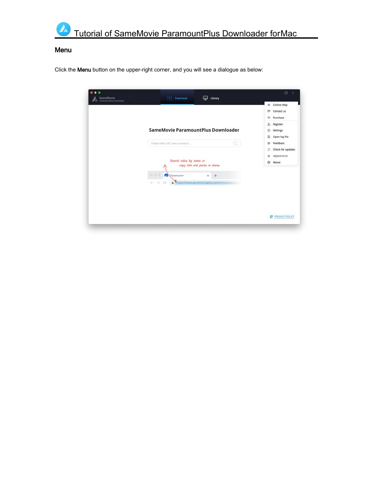

### <span id="page-6-0"></span>Menu

Click the Menu button on the upper-right corner, and you will see a dialogue as below:

| $\bullet$<br>SameMovie<br>ar a<br>ParamountPlus Downloader | Download<br>Library<br>⋤<br>F₩                                                                                                           | $\circledS$<br>Ξ                                                              |
|------------------------------------------------------------|------------------------------------------------------------------------------------------------------------------------------------------|-------------------------------------------------------------------------------|
|                                                            |                                                                                                                                          | Online Help<br>$\circ$<br>Contact us<br>画<br>Purchase<br>Ħ                    |
|                                                            | SameMovie ParamountPlus Downloader<br>α<br>Pasta video URL here or search                                                                | $2\alpha$<br>Register<br>Settings<br>舂<br>Open log file<br>ö<br>Feedback<br>Ö |
|                                                            | Search video by name or<br>copy link and paste it above                                                                                  | Check for updates<br>z<br>Appearance<br>u<br>About<br>$\Theta$                |
|                                                            | 自由中<br>Paramount+<br>$\times$<br>$+$<br>https://www.paramountplus.com/movies/south<br>$\leftarrow$<br>$\rightarrow$<br>C<br>$\mathbf{a}$ |                                                                               |
|                                                            |                                                                                                                                          | <b>PRIVACY POLICY</b>                                                         |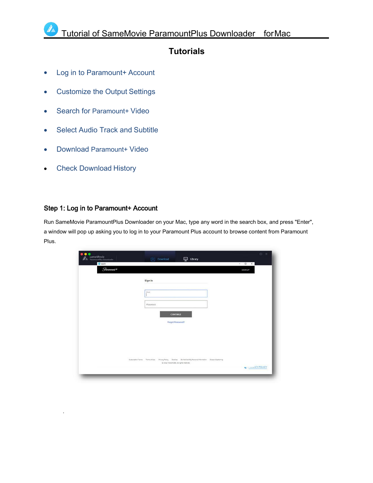## <span id="page-7-0"></span>**Tutorials**

- Log in to [Paramount+](#page-7-1) Account
- [Customize](#page-8-0) the Output Settings
- Search for [Paramount+](#page-8-1) Video
- Select Audio Track and [Subtitle](#page-9-0)
- Download [Paramount+](#page-10-0) Video
- Check [Download](#page-11-0) History

.

### <span id="page-7-1"></span>Step 1: Log in to Paramount+ Account

Run SameMovie ParamountPlus Downloader on your Mac, type any word in the search box, and press "Enter", a window will pop up asking you to log in to your Paramount Plus account to browse content from Paramount Plus.

| $\bullet$ $\bullet$<br>SameMovie<br>PiramountPlus Downloader<br><b>I</b> A | Download<br>$\Box$ Library<br>run                                                                                                                      | $\circ$ =      |
|----------------------------------------------------------------------------|--------------------------------------------------------------------------------------------------------------------------------------------------------|----------------|
| C search                                                                   |                                                                                                                                                        | $-$ 0 $\times$ |
| $G$ aramount +                                                             |                                                                                                                                                        | SIGN UP        |
|                                                                            | Sign In                                                                                                                                                |                |
|                                                                            | <b>DHAN</b>                                                                                                                                            |                |
|                                                                            | Possword.                                                                                                                                              |                |
|                                                                            | <b>CONTINUE</b>                                                                                                                                        |                |
|                                                                            | Forgot Possword?                                                                                                                                       |                |
|                                                                            |                                                                                                                                                        |                |
|                                                                            |                                                                                                                                                        |                |
|                                                                            | Phony Policy Cookies Do Not Sell My Personal Information: Closed Costaning<br>Subscription/Terms Terms of Use<br>C 2022 VisconCBS. As rights reserved. |                |
|                                                                            |                                                                                                                                                        | U  ICY POLICY  |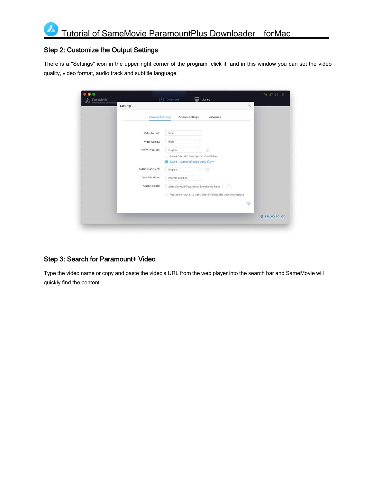#### <span id="page-8-0"></span>Step 2: Customize the Output Settings

There is a "Settings" icon in the upper right corner of the program, click it, and in this window you can set the video quality, video format, audio track and subtitle language.

| SameMovie<br>PaamoontPlus Downloader | Settings                 | Download                                                                            | Library                                                      |       | $\times$              |
|--------------------------------------|--------------------------|-------------------------------------------------------------------------------------|--------------------------------------------------------------|-------|-----------------------|
|                                      | <b>Download Settings</b> | <b>Account Settings</b>                                                             | Advanced                                                     |       |                       |
|                                      | Video Format:            | MP4                                                                                 | v                                                            |       |                       |
|                                      | Video Quality:           | High                                                                                | ×                                                            |       |                       |
|                                      | Audio Language:          | English                                                                             | $\odot$<br>91                                                |       |                       |
|                                      |                          | Save AD (Audio Description) if available<br>5 Save 5.1 surround audio track, if any |                                                              |       |                       |
|                                      | Subtitle Language:       | English                                                                             | $\odot$<br>해                                                 |       |                       |
|                                      | Save Subtitle as:        | Internal subtities                                                                  | ×                                                            |       |                       |
|                                      | Output Folder:           |                                                                                     | /Users/anvsoft/Documents/SameMovie Para                      | a kin |                       |
|                                      |                          |                                                                                     | Put the computer to sleep after finishing the download queue |       |                       |
|                                      |                          |                                                                                     |                                                              |       | $\bullet$             |
|                                      |                          |                                                                                     |                                                              |       | <b>PRIVACY POLICY</b> |

## <span id="page-8-1"></span>Step 3: Search for Paramount+ Video

Type the video name or copy and paste the video's URL from the web player into the search bar and SameMovie will quickly find the content.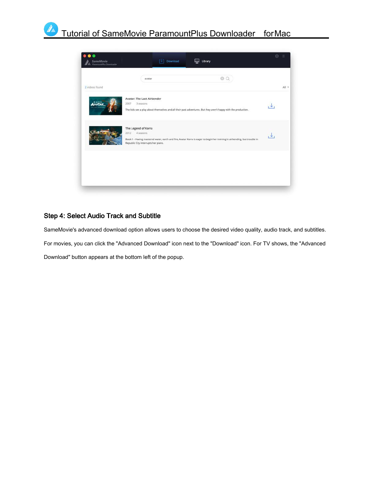

### <span id="page-9-0"></span>Step 4: Select Audio Track and Subtitle

SameMovie's advanced download option allows users to choose the desired video quality, audio track, and subtitles. For movies, you can click the "Advanced Download" icon next to the "Download" icon. For TV shows, the "Advanced Download" button appears at the bottom left of the popup.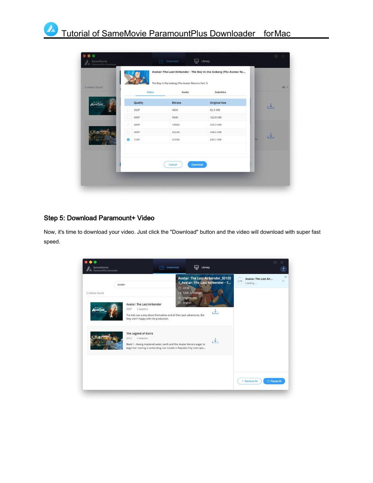| 2 videos found |           | The Boy in the Iceberg (The Avatar Returns Part 1) |                      | All =                   |
|----------------|-----------|----------------------------------------------------|----------------------|-------------------------|
|                |           | Video                                              | Audio<br>Subtitles   |                         |
| 各面控闭           | Quality   | <b>Bitrate</b>                                     | <b>Original Size</b> |                         |
|                | n<br>360P | 485K                                               | 82.0 MB              | $\cdot$ $\cdot$ $\cdot$ |
|                | 480P      | 964K                                               | 162.8 MB             |                         |
|                | Ð<br>480P | 1896K                                              | 320.2 MB             |                         |
|                | 480P      | 2654K                                              | 448.2 MB             | اللي                    |
|                | 720P      | 3765K                                              | 635.7 MB             | in.                     |
|                |           | Cancel                                             | Download             |                         |

### <span id="page-10-0"></span>Step 5: Download Paramount+ Video

Now, it's time to download your video. Just click the "Download" button and the video will download with super fast speed.

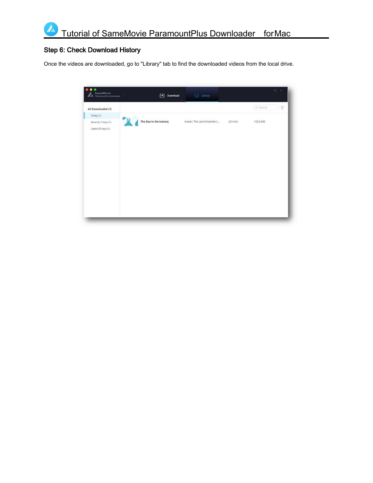### <span id="page-11-0"></span>Step 6: Check Download History

Once the videos are downloaded, go to "Library" tab to find the downloaded videos from the local drive.

| SameMovie<br>ParamountPlus Downloader<br>ℬ | $\begin{bmatrix} \downarrow \\ \downarrow \end{bmatrix}$ Download | $\overline{\mathbf{u}}$ Library |         |          | $@ =$ |
|--------------------------------------------|-------------------------------------------------------------------|---------------------------------|---------|----------|-------|
| All Downloaded (1)                         |                                                                   |                                 |         | Q Search | V     |
| Today (1)                                  |                                                                   |                                 |         |          |       |
| Recently 7 days (1)<br>Latest 30 days (1)  | The Boy in the Iceberg                                            | Avatar: The Last Airbender (    | 23 mins | 103.6 MB |       |
|                                            |                                                                   |                                 |         |          |       |
|                                            |                                                                   |                                 |         |          |       |
|                                            |                                                                   |                                 |         |          |       |